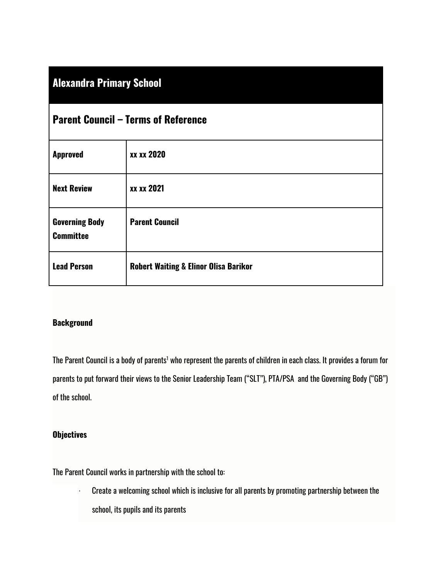| <b>Alexandra Primary School</b> |  |
|---------------------------------|--|
|                                 |  |
|                                 |  |
|                                 |  |

| <b>Parent Council – Terms of Reference</b> |                                                  |  |
|--------------------------------------------|--------------------------------------------------|--|
| <b>Approved</b>                            | <b>XX XX 2020</b>                                |  |
| <b>Next Review</b>                         | xx xx 2021                                       |  |
| <b>Governing Body</b><br><b>Committee</b>  | <b>Parent Council</b>                            |  |
| <b>Lead Person</b>                         | <b>Robert Waiting &amp; Elinor Olisa Barikor</b> |  |

# **Background**

The Parent Council is a body of parents<sup>1</sup> who represent the parents of children in each class. It provides a forum for parents to put forward their views to the Senior Leadership Team ("SLT"), PTA/PSA and the Governing Body ("GB") of the school.

# **Objectives**

The Parent Council works in partnership with the school to:

· Create a welcoming school which is inclusive for all parents by promoting partnership between the school, its pupils and its parents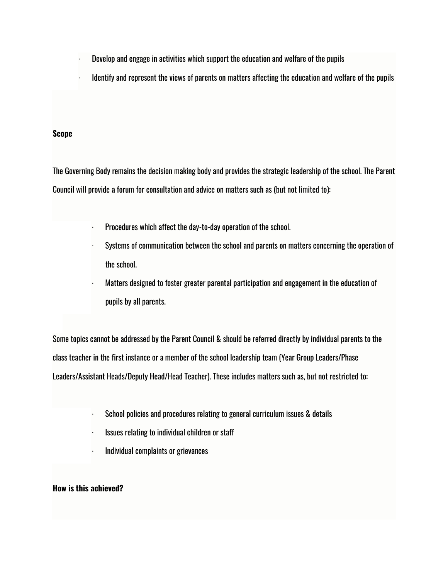- · Develop and engage in activities which support the education and welfare of the pupils
- · Identify and represent the views of parents on matters affecting the education and welfare of the pupils

#### **Scope**

The Governing Body remains the decision making body and provides the strategic leadership of the school. The Parent Council will provide a forum for consultation and advice on matters such as (but not limited to):

- · Procedures which affect the day-to-day operation of the school.
- Systems of communication between the school and parents on matters concerning the operation of the school.
- · Matters designed to foster greater parental participation and engagement in the education of pupils by all parents.

Some topics cannot be addressed by the Parent Council & should be referred directly by individual parents to the class teacher in the first instance or a member of the school leadership team (Year Group Leaders/Phase Leaders/Assistant Heads/Deputy Head/Head Teacher). These includes matters such as, but not restricted to:

- · School policies and procedures relating to general curriculum issues & details
- · Issues relating to individual children or staff
- · Individual complaints or grievances

## **How is this achieved?**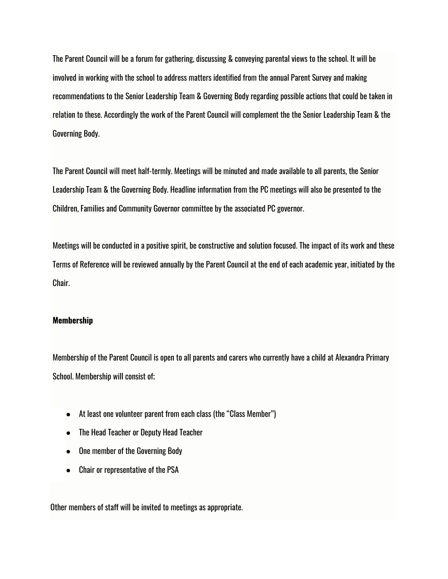The Parent Council will be a forum for gathering, discussing & conveying parental views to the school. It will be involved in working with the school to address matters identified from the annual Parent Survey and making recommendations to the Senior Leadership Team & Governing Body regarding possible actions that could be taken in relation to these. Accordingly the work of the Parent Council will complement the the Senior Leadership Team & the Governing Body.

The Parent Council will meet half-termly. Meetings will be minuted and made available to all parents, the Senior Leadership Team & the Governing Body. Headline information from the PC meetings will also be presented to the Children, Families and Community Governor committee by the associated PC governor.

Meetings will be conducted in a positive spirit, be constructive and solution focused. The impact of its work and these Terms of Reference will be reviewed annually by the Parent Council at the end of each academic year, initiated by the Chair.

#### **Membership**

Membership of the Parent Council is open to all parents and carers who currently have a child at Alexandra Primary School. Membership will consist of;

- At least one volunteer parent from each class (the "Class Member")
- The Head Teacher or Deputy Head Teacher
- One member of the Governing Body
- Chair or representative of the PSA

Other members of staff will be invited to meetings as appropriate.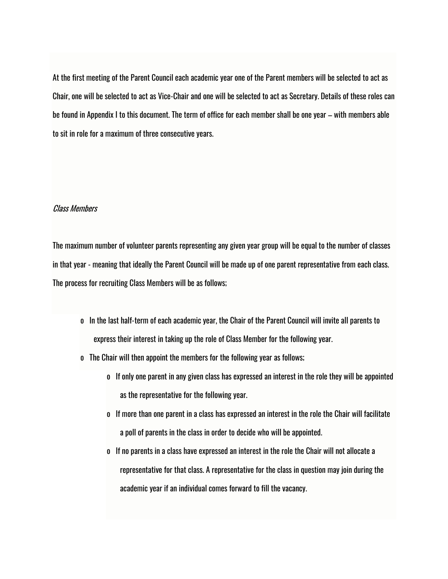At the first meeting of the Parent Council each academic year one of the Parent members will be selected to act as Chair, one will be selected to act as Vice-Chair and one will be selected to act as Secretary. Details of these roles can be found in Appendix I to this document. The term of office for each member shall be one year – with members able to sit in role for a maximum of three consecutive years.

## Class Members

The maximum number of volunteer parents representing any given year group will be equal to the number of classes in that year - meaning that ideally the Parent Council will be made up of one parent representative from each class. The process for recruiting Class Members will be as follows;

- o In the last half-term of each academic year, the Chair of the Parent Council will invite all parents to express their interest in taking up the role of Class Member for the following year.
- o The Chair will then appoint the members for the following year as follows;
	- o If only one parent in any given class has expressed an interest in the role they will be appointed as the representative for the following year.
	- o If more than one parent in a class has expressed an interest in the role the Chair will facilitate a poll of parents in the class in order to decide who will be appointed.
	- o If no parents in a class have expressed an interest in the role the Chair will not allocate a representative for that class. A representative for the class in question may join during the academic year if an individual comes forward to fill the vacancy.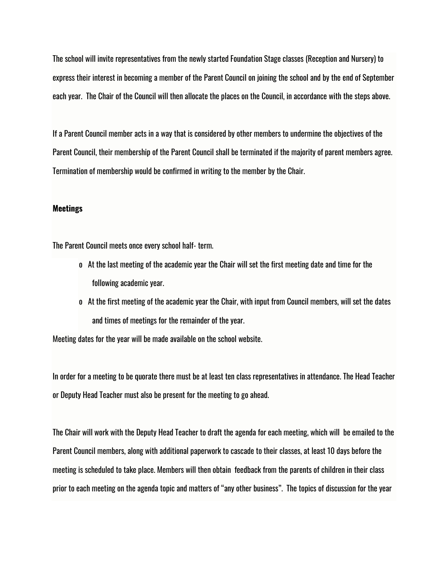The school will invite representatives from the newly started Foundation Stage classes (Reception and Nursery) to express their interest in becoming a member of the Parent Council on joining the school and by the end of September each year. The Chair of the Council will then allocate the places on the Council, in accordance with the steps above.

If a Parent Council member acts in a way that is considered by other members to undermine the objectives of the Parent Council, their membership of the Parent Council shall be terminated if the majority of parent members agree. Termination of membership would be confirmed in writing to the member by the Chair.

#### **Meetings**

The Parent Council meets once every school half- term.

- o At the last meeting of the academic year the Chair will set the first meeting date and time for the following academic year.
- o At the first meeting of the academic year the Chair, with input from Council members, will set the dates and times of meetings for the remainder of the year.

Meeting dates for the year will be made available on the school website.

In order for a meeting to be quorate there must be at least ten class representatives in attendance. The Head Teacher or Deputy Head Teacher must also be present for the meeting to go ahead.

The Chair will work with the Deputy Head Teacher to draft the agenda for each meeting, which will be emailed to the Parent Council members, along with additional paperwork to cascade to their classes, at least 10 days before the meeting is scheduled to take place. Members will then obtain feedback from the parents of children in their class prior to each meeting on the agenda topic and matters of "any other business". The topics of discussion for the year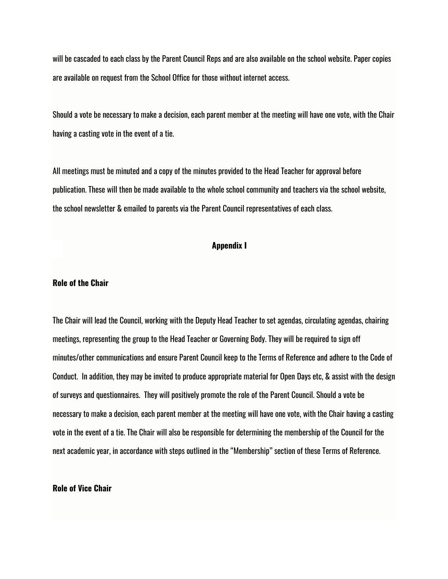will be cascaded to each class by the Parent Council Reps and are also available on the school website. Paper copies are available on request from the School Office for those without internet access.

Should a vote be necessary to make a decision, each parent member at the meeting will have one vote, with the Chair having a casting vote in the event of a tie.

All meetings must be minuted and a copy of the minutes provided to the Head Teacher for approval before publication. These will then be made available to the whole school community and teachers via the school website, the school newsletter & emailed to parents via the Parent Council representatives of each class.

## **Appendix I**

### **Role of the Chair**

The Chair will lead the Council, working with the Deputy Head Teacher to set agendas, circulating agendas, chairing meetings, representing the group to the Head Teacher or Governing Body. They will be required to sign off minutes/other communications and ensure Parent Council keep to the Terms of Reference and adhere to the Code of Conduct. In addition, they may be invited to produce appropriate material for Open Days etc, & assist with the design of surveys and questionnaires. They will positively promote the role of the Parent Council. Should a vote be necessary to make a decision, each parent member at the meeting will have one vote, with the Chair having a casting vote in the event of a tie. The Chair will also be responsible for determining the membership of the Council for the next academic year, in accordance with steps outlined in the "Membership" section of these Terms of Reference.

### **Role of Vice Chair**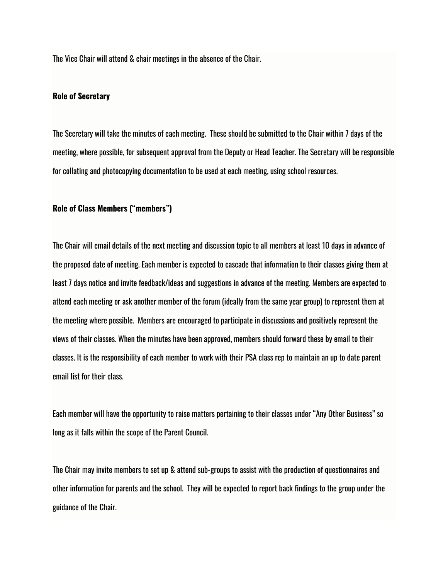The Vice Chair will attend & chair meetings in the absence of the Chair.

## **Role of Secretary**

The Secretary will take the minutes of each meeting. These should be submitted to the Chair within 7 days of the meeting, where possible, for subsequent approval from the Deputy or Head Teacher. The Secretary will be responsible for collating and photocopying documentation to be used at each meeting, using school resources.

#### **Role of Class Members ("members")**

The Chair will email details of the next meeting and discussion topic to all members at least 10 days in advance of the proposed date of meeting. Each member is expected to cascade that information to their classes giving them at least 7 days notice and invite feedback/ideas and suggestions in advance of the meeting. Members are expected to attend each meeting or ask another member of the forum (ideally from the same year group) to represent them at the meeting where possible. Members are encouraged to participate in discussions and positively represent the views of their classes. When the minutes have been approved, members should forward these by email to their classes. It is the responsibility of each member to work with their PSA class rep to maintain an up to date parent email list for their class.

Each member will have the opportunity to raise matters pertaining to their classes under "Any Other Business" so long as it falls within the scope of the Parent Council.

The Chair may invite members to set up & attend sub-groups to assist with the production of questionnaires and other information for parents and the school. They will be expected to report back findings to the group under the guidance of the Chair.